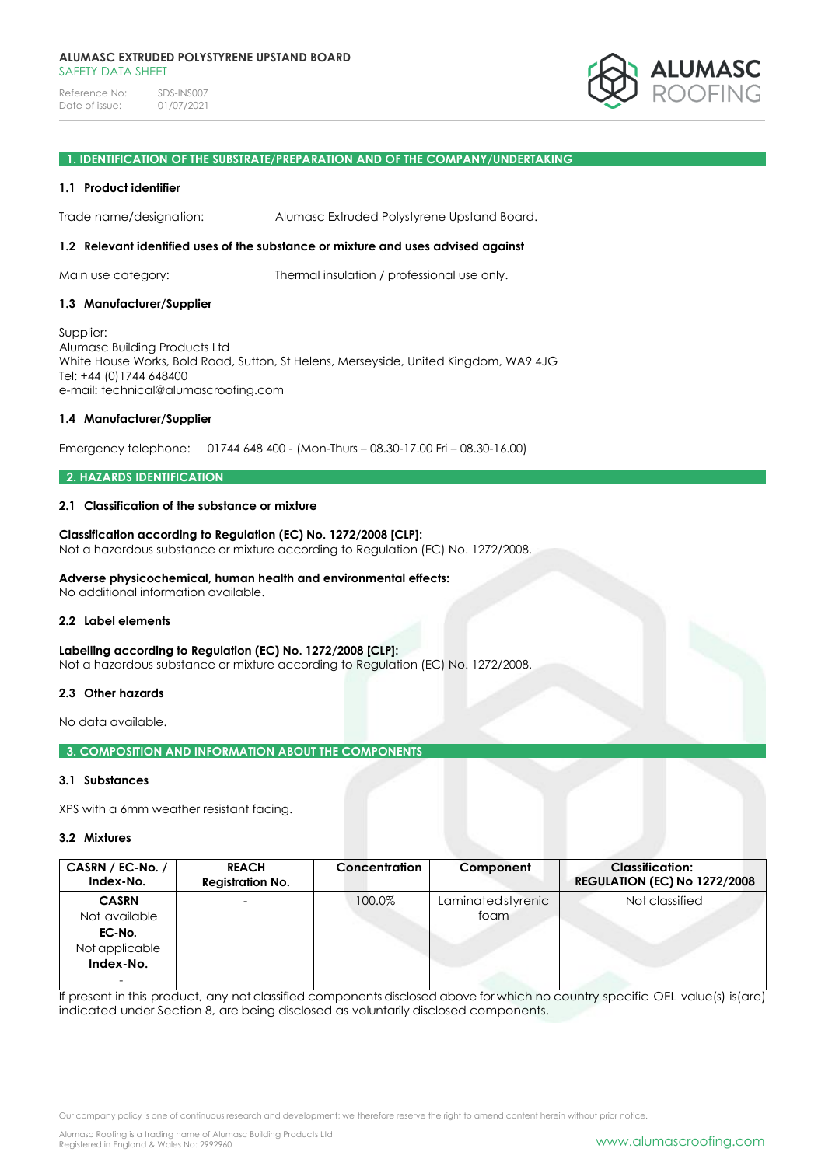Reference No: SDS-INS007<br>Date of issue: 01/07/2021 Date of issue:



### **1. IDENTIFICATION OF THE SUBSTRATE/PREPARATION AND OF THE COMPANY/UNDERTAKING**

### **1.1 Product identifier**

Trade name/designation: Alumasc Extruded Polystyrene Upstand Board.

# **1.2 Relevant identified uses of the substance or mixture and uses advised against**

Main use category: Thermal insulation / professional use only.

### **1.3 Manufacturer/Supplier**

Supplier: Alumasc Building Products Ltd White House Works, Bold Road, Sutton, St Helens, Merseyside, United Kingdom, WA9 4JG Tel: +44 (0)1744 648400 e-mail: [technical@alumascroofing.com](mailto:technical@alumascroofing.com)

### **1.4 Manufacturer/Supplier**

Emergency telephone: 01744 648 400 - (Mon-Thurs – 08.30-17.00 Fri – 08.30-16.00)

### **2. HAZARDS IDENTIFICATION**

### **2.1 Classification of the substance or mixture**

### **Classification according to Regulation (EC) No. 1272/2008 [CLP]:** Not a hazardous substance or mixture according to Regulation (EC) No. 1272/2008.

## **Adverse physicochemical, human health and environmental effects:**

No additional information available.

### **2.2 Label elements**

## **Labelling according to Regulation (EC) No. 1272/2008 [CLP]:**

Not a hazardous substance or mixture according to Regulation (EC) No. 1272/2008.

# **2.3 Other hazards**

No data available.

**3. COMPOSITION AND INFORMATION ABOUT THE COMPONENTS**

### **3.1 Substances**

XPS with a 6mm weather resistant facing.

#### **3.2 Mixtures**

| CASRN / EC-No. /<br>Index-No.                                                                      | <b>REACH</b><br><b>Registration No.</b> | Concentration | Component                 | <b>Classification:</b><br><b>REGULATION (EC) No 1272/2008</b> |
|----------------------------------------------------------------------------------------------------|-----------------------------------------|---------------|---------------------------|---------------------------------------------------------------|
| <b>CASRN</b><br>Not available<br>EC-No.<br>Not applicable<br>Index-No.<br>$\overline{\phantom{a}}$ |                                         | 100.0%        | Laminatedstyrenic<br>foam | Not classified                                                |

If present in this product, any not classified components disclosed above for which no country specific OEL value(s) is(are) indicated under Section 8, are being disclosed as voluntarily disclosed components.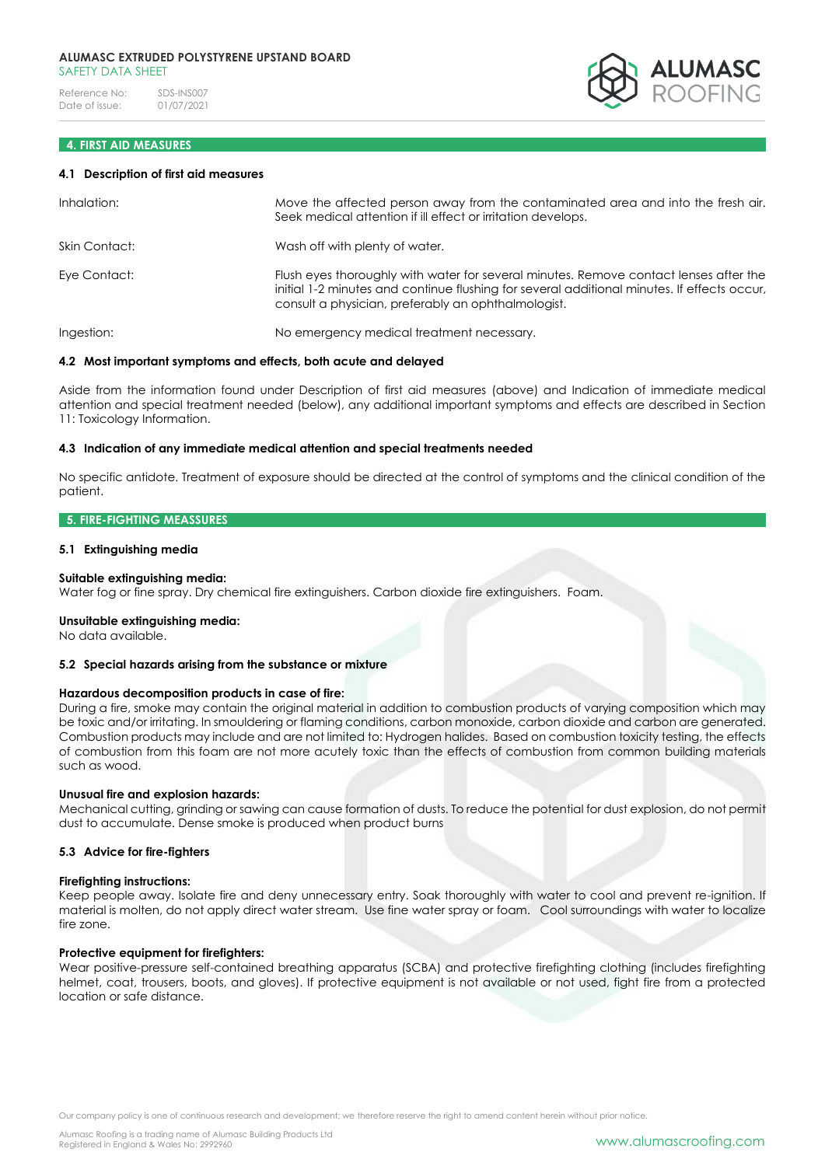#### **ALUMASC EXTRUDED POLYSTYRENE UPSTAND BOARD** SAFFTY DATA SHFFT

Reference No: SDS-INS007<br>Date of issue: 01/07/2021 Date of issue:

# **4. FIRST AID MEASURES**

### **4.1 Description of first aid measures**

| Inhalation:   | Move the affected person away from the contaminated area and into the fresh air.<br>Seek medical attention if ill effect or irritation develops.                                                                                            |
|---------------|---------------------------------------------------------------------------------------------------------------------------------------------------------------------------------------------------------------------------------------------|
| Skin Contact: | Wash off with plenty of water.                                                                                                                                                                                                              |
| Eye Contact:  | Flush eyes thoroughly with water for several minutes. Remove contact lenses after the<br>initial 1-2 minutes and continue flushing for several additional minutes. If effects occur,<br>consult a physician, preferably an ophthalmologist. |
| Ingestion:    | No emergency medical treatment necessary.                                                                                                                                                                                                   |

### **4.2 Most important symptoms and effects, both acute and delayed**

Aside from the information found under Description of first aid measures (above) and Indication of immediate medical attention and special treatment needed (below), any additional important symptoms and effects are described in Section 11: Toxicology Information.

### **4.3 Indication of any immediate medical attention and special treatments needed**

No specific antidote. Treatment of exposure should be directed at the control of symptoms and the clinical condition of the patient.

### **5. FIRE-FIGHTING MEASSURES**

### **5.1 Extinguishing media**

### **Suitable extinguishing media:**

Water fog or fine spray. Dry chemical fire extinguishers. Carbon dioxide fire extinguishers. Foam.

#### **Unsuitable extinguishing media:**

No data available.

### **5.2 Special hazards arising from the substance or mixture**

## **Hazardous decomposition products in case of fire:**

During a fire, smoke may contain the original material in addition to combustion products of varying composition which may be toxic and/or irritating. In smouldering or flaming conditions, carbon monoxide, carbon dioxide and carbon are generated. Combustion products may include and are not limited to: Hydrogen halides. Based on combustion toxicity testing, the effects of combustion from this foam are not more acutely toxic than the effects of combustion from common building materials such as wood.

## **Unusual fire and explosion hazards:**

Mechanical cutting, grinding or sawing can cause formation of dusts. To reduce the potential for dust explosion, do not permit dust to accumulate. Dense smoke is produced when product burns

#### **5.3 Advice for fire-fighters**

#### **Firefighting instructions:**

Keep people away. Isolate fire and deny unnecessary entry. Soak thoroughly with water to cool and prevent re-ignition. If material is molten, do not apply direct water stream. Use fine water spray or foam. Cool surroundings with water to localize fire zone.

#### **Protective equipment for firefighters:**

Wear positive-pressure self-contained breathing apparatus (SCBA) and protective firefighting clothing (includes firefighting helmet, coat, trousers, boots, and gloves). If protective equipment is not available or not used, fight fire from a protected location or safe distance.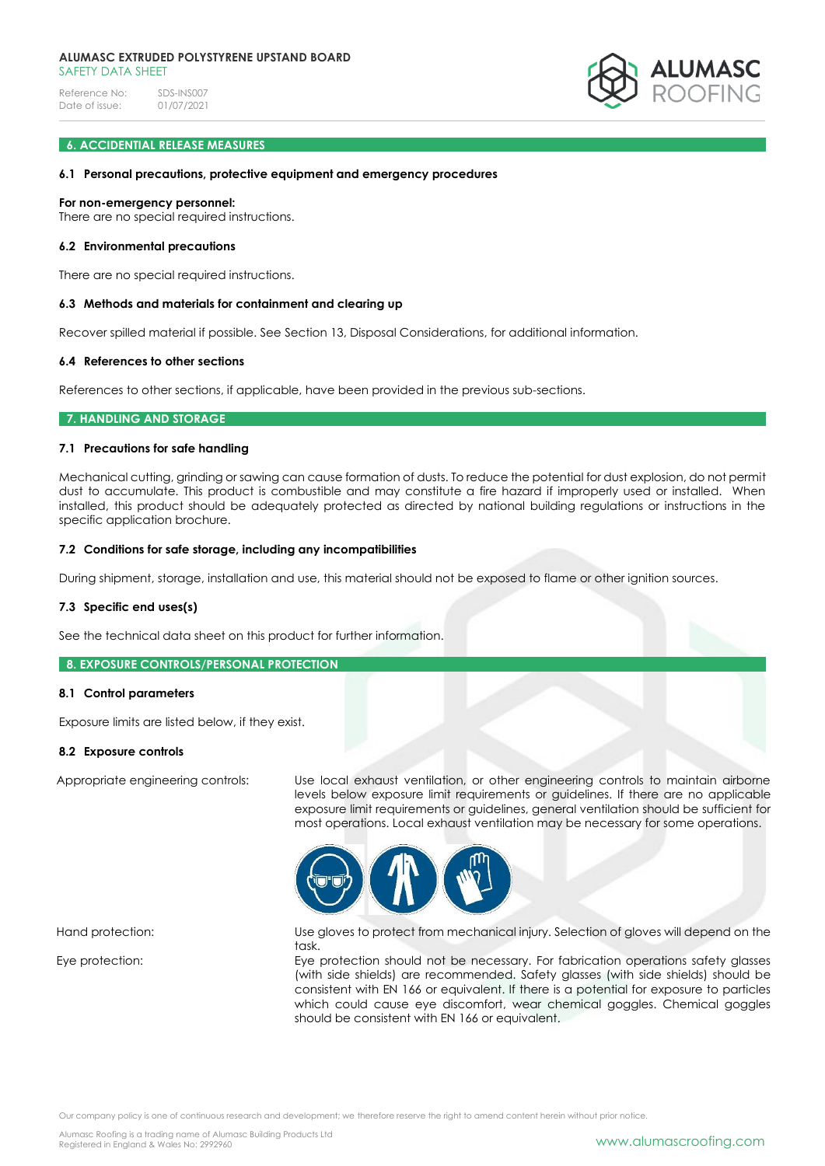Reference No: SDS-INS007<br>Date of issue: 01/07/2021 Date of issue:



## **6. ACCIDENTIAL RELEASE MEASURES**

### **6.1 Personal precautions, protective equipment and emergency procedures**

#### **For non-emergency personnel:**

There are no special required instructions.

### **6.2 Environmental precautions**

There are no special required instructions.

#### **6.3 Methods and materials for containment and clearing up**

Recover spilled material if possible. See Section 13, Disposal Considerations, for additional information.

### **6.4 References to other sections**

References to other sections, if applicable, have been provided in the previous sub-sections.

#### **7. HANDLING AND STORAGE**

### **7.1 Precautions for safe handling**

Mechanical cutting, grinding or sawing can cause formation of dusts. To reduce the potential for dust explosion, do not permit dust to accumulate. This product is combustible and may constitute a fire hazard if improperly used or installed. When installed, this product should be adequately protected as directed by national building regulations or instructions in the specific application brochure.

#### **7.2 Conditions for safe storage, including any incompatibilities**

During shipment, storage, installation and use, this material should not be exposed to flame or other ignition sources.

### **7.3 Specific end uses(s)**

See the technical data sheet on this product for further information.

### **8. EXPOSURE CONTROLS/PERSONAL PROTECTION**

### **8.1 Control parameters**

Exposure limits are listed below, if they exist.

## **8.2 Exposure controls**

Appropriate engineering controls: Use local exhaust ventilation, or other engineering controls to maintain airborne levels below exposure limit requirements or guidelines. If there are no applicable exposure limit requirements or guidelines, general ventilation should be sufficient for most operations. Local exhaust ventilation may be necessary for some operations.



Hand protection: Use gloves to protect from mechanical injury. Selection of gloves will depend on the task.

Eye protection: Eye protection should not be necessary. For fabrication operations safety glasses (with side shields) are recommended. Safety glasses (with side shields) should be consistent with EN 166 or equivalent. If there is a potential for exposure to particles which could cause eye discomfort, wear chemical goggles. Chemical goggles should be consistent with EN 166 or equivalent.

Our company policy is one of continuous research and development; we therefore reserve the right to amend content herein without prior notice.

Alumasc Roofing is a trading name of Alumasc Building Products Ltd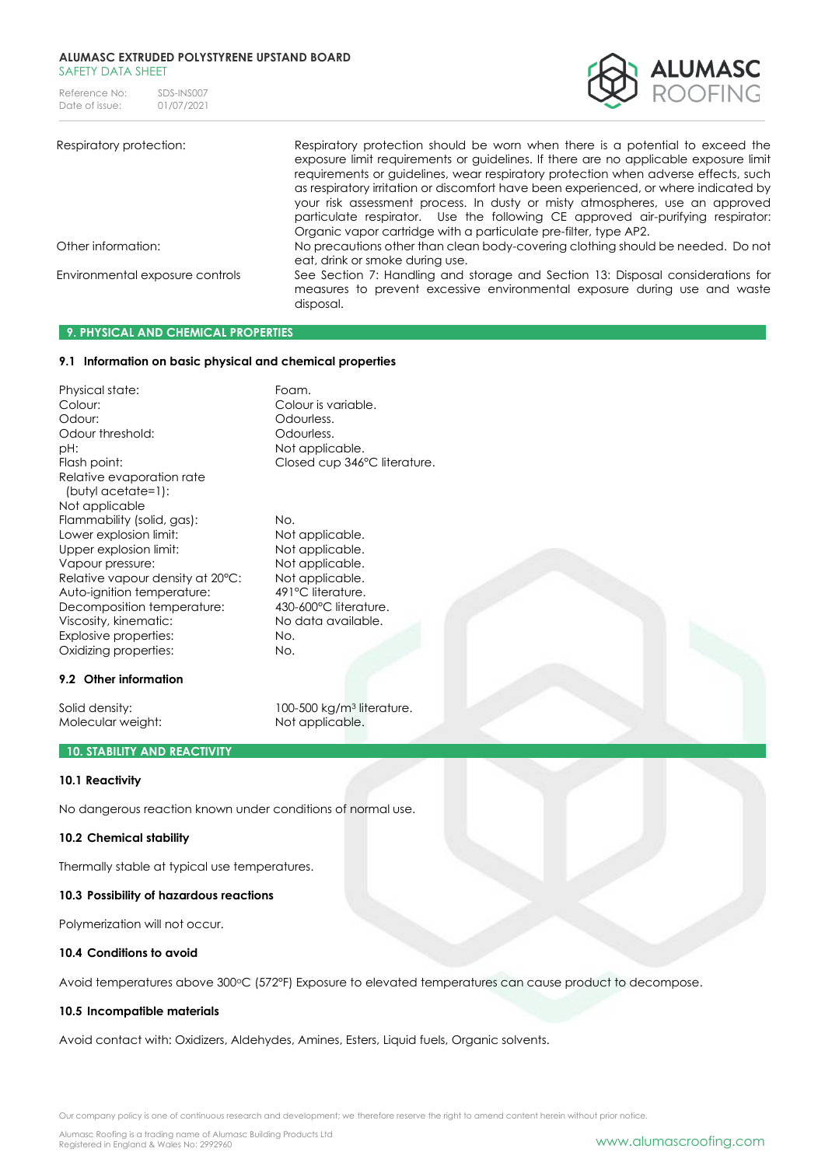#### **ALUMASC EXTRUDED POLYSTYRENE UPSTAND BOARD** SAFFTY DATA SHFFT

Reference No: SDS-INS007<br>Date of issue: 01/07/2021 Date of issue:



Respiratory protection: Respiratory protection should be worn when there is a potential to exceed the exposure limit requirements or guidelines. If there are no applicable exposure limit requirements or guidelines, wear respiratory protection when adverse effects, such as respiratory irritation or discomfort have been experienced, or where indicated by your risk assessment process. In dusty or misty atmospheres, use an approved particulate respirator. Use the following CE approved air-purifying respirator: Organic vapor cartridge with a particulate pre-filter, type AP2. Other information: No precautions other than clean body-covering clothing should be needed. Do not eat, drink or smoke during use. Environmental exposure controls See Section 7: Handling and storage and Section 13: Disposal considerations for measures to prevent excessive environmental exposure during use and waste disposal.

## **9. PHYSICAL AND CHEMICAL PROPERTIES**

## **9.1 Information on basic physical and chemical properties**

Physical state: The Foam. Colour: Colour is variable. Odour: Colourless. Odour threshold: Codourless. pH:  $P$  Not applicable. Flash point: Closed cup 346°C literature. Relative evaporation rate (butyl acetate=1): Not applicable Flammability (solid, gas): No. Lower explosion limit: Not applicable. Upper explosion limit: Not applicable. Vapour pressure: Not applicable. Relative vapour density at 20°C: Not applicable. Auto-ignition temperature: 491°C literature. Decomposition temperature: 430-600°C literature. Viscosity, kinematic: No data available. Explosive properties: No. Oxidizing properties: No.

#### **9.2 Other information**

Molecular weight: Not applicable.

Solid density: 100-500 kg/m<sup>3</sup> literature.

# **10. STABILITY AND REACTIVITY**

### **10.1 Reactivity**

No dangerous reaction known under conditions of normal use.

#### **10.2 Chemical stability**

Thermally stable at typical use temperatures.

#### **10.3 Possibility of hazardous reactions**

Polymerization will not occur.

### **10.4 Conditions to avoid**

Avoid temperatures above 300°C (572°F) Exposure to elevated temperatures can cause product to decompose.

### **10.5 Incompatible materials**

Avoid contact with: Oxidizers, Aldehydes, Amines, Esters, Liquid fuels, Organic solvents.

Our company policy is one of continuous research and development; we therefore reserve the right to amend content herein without prior notice.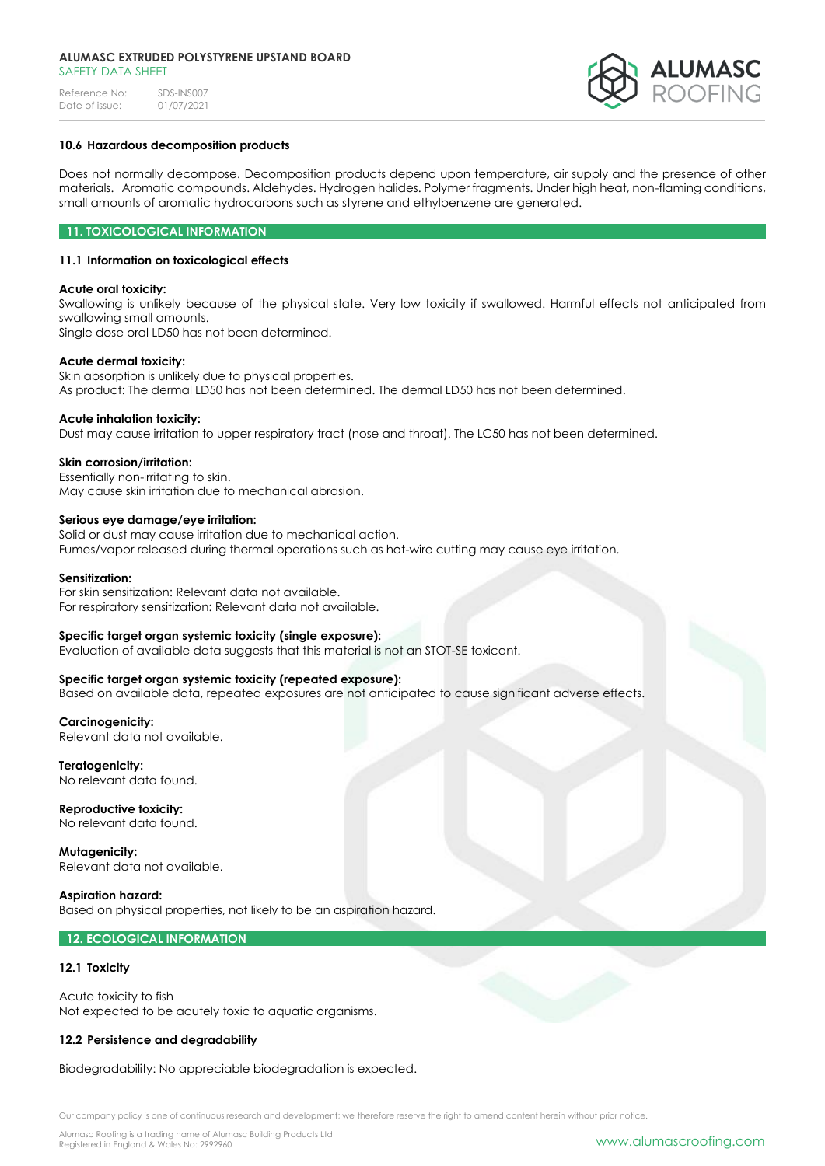### **ALUMASC EXTRUDED POLYSTYRENE UPSTAND BOARD** SAFETY DATA SHEET

Reference No: SDS-INS007<br>Date of issue: 01/07/2021 Date of issue:



## **10.6 Hazardous decomposition products**

Does not normally decompose. Decomposition products depend upon temperature, air supply and the presence of other materials. Aromatic compounds. Aldehydes. Hydrogen halides. Polymer fragments. Under high heat, non-flaming conditions, small amounts of aromatic hydrocarbons such as styrene and ethylbenzene are generated.

## **11. TOXICOLOGICAL INFORMATION**

## **11.1 Information on toxicological effects**

## **Acute oral toxicity:**

Swallowing is unlikely because of the physical state. Very low toxicity if swallowed. Harmful effects not anticipated from swallowing small amounts. Single dose oral LD50 has not been determined.

**Acute dermal toxicity:**

Skin absorption is unlikely due to physical properties. As product: The dermal LD50 has not been determined. The dermal LD50 has not been determined.

## **Acute inhalation toxicity:**

Dust may cause irritation to upper respiratory tract (nose and throat). The LC50 has not been determined.

### **Skin corrosion/irritation:**

Essentially non-irritating to skin. May cause skin irritation due to mechanical abrasion.

## **Serious eye damage/eye irritation:**

Solid or dust may cause irritation due to mechanical action. Fumes/vapor released during thermal operations such as hot-wire cutting may cause eye irritation.

### **Sensitization:**

For skin sensitization: Relevant data not available. For respiratory sensitization: Relevant data not available.

## **Specific target organ systemic toxicity (single exposure):**

Evaluation of available data suggests that this material is not an STOT-SE toxicant.

## **Specific target organ systemic toxicity (repeated exposure):**

Based on available data, repeated exposures are not anticipated to cause significant adverse effects.

**Carcinogenicity:** Relevant data not available.

**Teratogenicity:** No relevant data found.

**Reproductive toxicity:** No relevant data found.

**Mutagenicity:** Relevant data not available.

**Aspiration hazard:** Based on physical properties, not likely to be an aspiration hazard.

## **12. ECOLOGICAL INFORMATION**

## **12.1 Toxicity**

Acute toxicity to fish Not expected to be acutely toxic to aquatic organisms.

# **12.2 Persistence and degradability**

Biodegradability: No appreciable biodegradation is expected.

Our company policy is one of continuous research and development; we therefore reserve the right to amend content herein without prior notice.

Alumasc Roofing is a trading name of Alumasc Building Products Ltd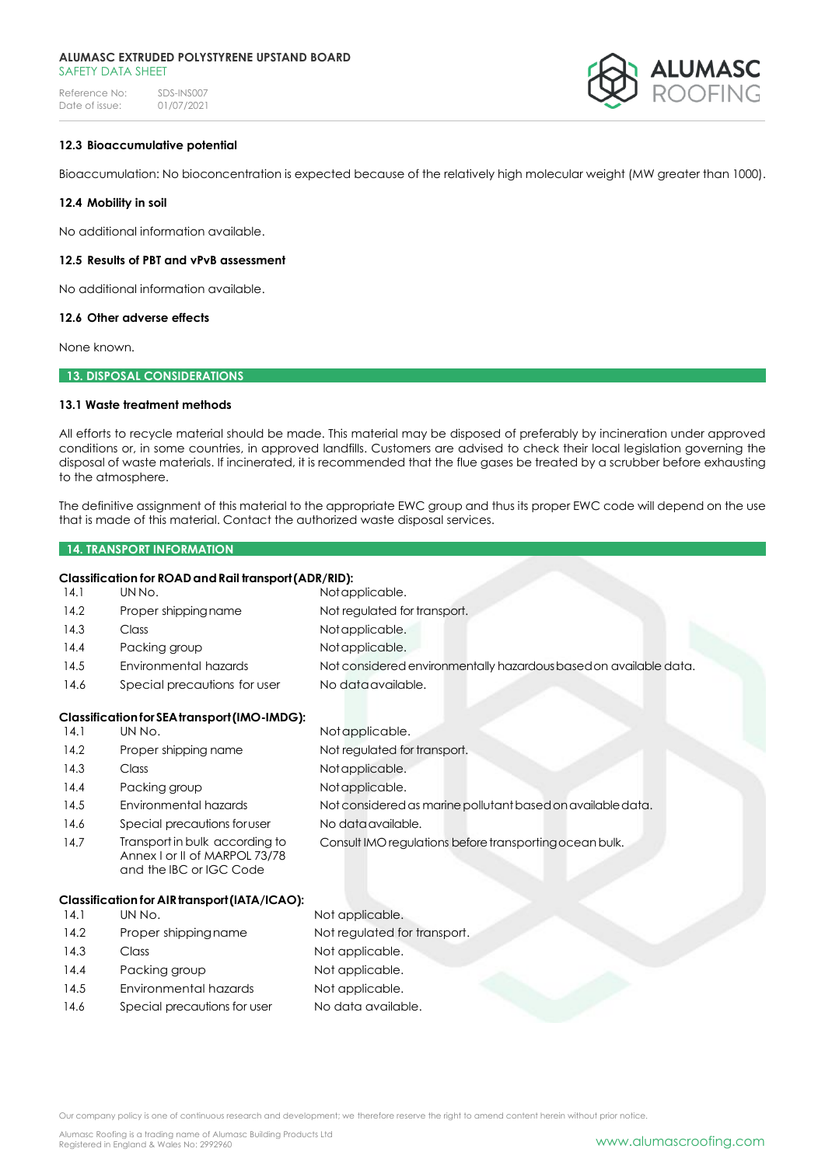#### **ALUMASC EXTRUDED POLYSTYRENE UPSTAND BOARD** SAFFTY DATA SHFFT

Reference No: SDS-INS007<br>Date of issue: 01/07/2021 Date of issue:



## **12.3 Bioaccumulative potential**

Bioaccumulation: No bioconcentration is expected because of the relatively high molecular weight (MW greater than 1000).

### **12.4 Mobility in soil**

No additional information available.

## **12.5 Results of PBT and vPvB assessment**

No additional information available.

## **12.6 Other adverse effects**

None known.

### **13. DISPOSAL CONSIDERATIONS**

## **13.1 Waste treatment methods**

All efforts to recycle material should be made. This material may be disposed of preferably by incineration under approved conditions or, in some countries, in approved landfills. Customers are advised to check their local legislation governing the disposal of waste materials. If incinerated, it is recommended that the flue gases be treated by a scrubber before exhausting to the atmosphere.

The definitive assignment of this material to the appropriate EWC group and thus its proper EWC code will depend on the use that is made of this material. Contact the authorized waste disposal services.

#### **14. TRANSPORT INFORMATION**

# **Classification for ROADandRail transport(ADR/RID):**

| Clussificution for NOAD und Kull Irunsport (ADK) KIDJ.                                     | Notapplicable.                                                    |  |
|--------------------------------------------------------------------------------------------|-------------------------------------------------------------------|--|
|                                                                                            | Not regulated for transport.                                      |  |
|                                                                                            |                                                                   |  |
|                                                                                            | Notapplicable.                                                    |  |
|                                                                                            | Notapplicable.                                                    |  |
| Environmental hazards                                                                      | Not considered environmentally hazardous based on available data. |  |
| Special precautions for user                                                               | No data available.                                                |  |
| Classification for SEA transport (IMO-IMDG):                                               |                                                                   |  |
| UN No.                                                                                     | Notapplicable.                                                    |  |
| Proper shipping name                                                                       | Not regulated for transport.                                      |  |
| <b>Class</b>                                                                               | Notapplicable.                                                    |  |
| Packing group                                                                              | Notapplicable.                                                    |  |
| Environmental hazards                                                                      | Not considered as marine pollutant based on available data.       |  |
| Special precautions for user                                                               | No data available.                                                |  |
| Transport in bulk according to<br>Annex I or II of MARPOL 73/78<br>and the IBC or IGC Code | Consult IMO regulations before transporting ocean bulk.           |  |
| Classification for AIR transport (IATA/ICAO):                                              |                                                                   |  |
| UN No.                                                                                     | Not applicable.                                                   |  |
| Proper shipping name                                                                       | Not regulated for transport.                                      |  |
| Class                                                                                      | Not applicable.                                                   |  |
| Packing group                                                                              | Not applicable.                                                   |  |
|                                                                                            | Not applicable.                                                   |  |
|                                                                                            | UN No.<br>Proper shipping name<br>Class<br>Packing group          |  |

14.6 Special precautions for user No data available.